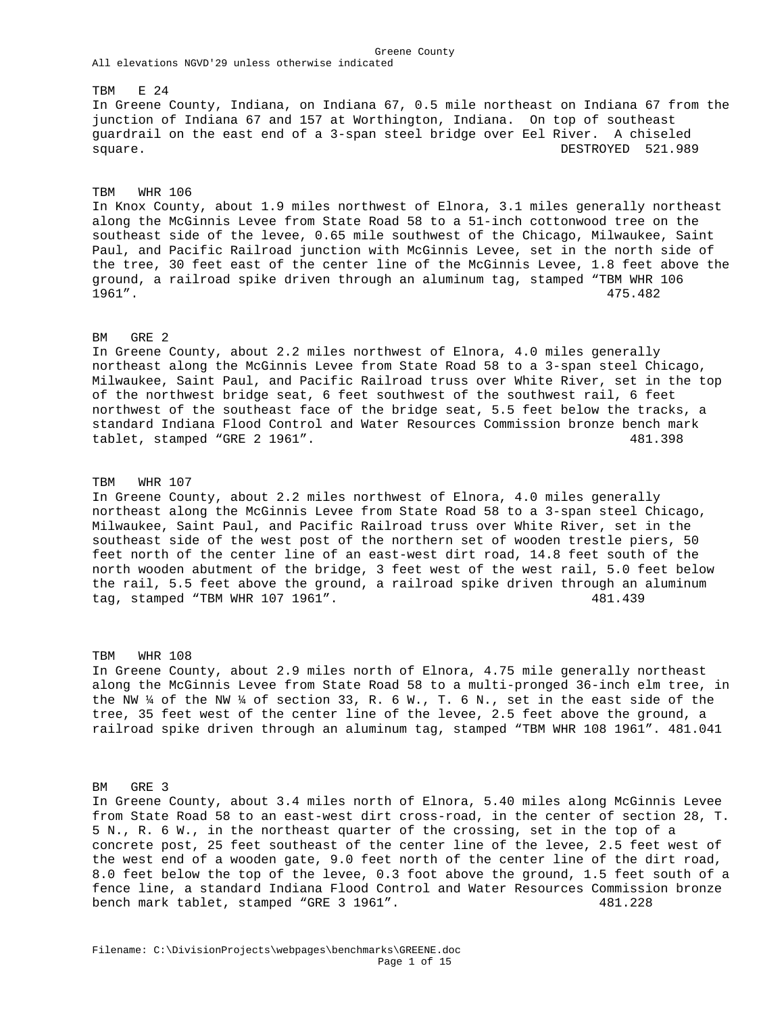All elevations NGVD'29 unless otherwise indicated TBM E 24 In Greene County, Indiana, on Indiana 67, 0.5 mile northeast on Indiana 67 from the junction of Indiana 67 and 157 at Worthington, Indiana. On top of southeast guardrail on the east end of a 3-span steel bridge over Eel River. A chiseled square. DESTROYED 521.989

Greene County

TBM WHR 106

In Knox County, about 1.9 miles northwest of Elnora, 3.1 miles generally northeast along the McGinnis Levee from State Road 58 to a 51-inch cottonwood tree on the southeast side of the levee, 0.65 mile southwest of the Chicago, Milwaukee, Saint Paul, and Pacific Railroad junction with McGinnis Levee, set in the north side of the tree, 30 feet east of the center line of the McGinnis Levee, 1.8 feet above the ground, a railroad spike driven through an aluminum tag, stamped "TBM WHR 106 1961". 475.482

# BM GRE 2

In Greene County, about 2.2 miles northwest of Elnora, 4.0 miles generally northeast along the McGinnis Levee from State Road 58 to a 3-span steel Chicago, Milwaukee, Saint Paul, and Pacific Railroad truss over White River, set in the top of the northwest bridge seat, 6 feet southwest of the southwest rail, 6 feet northwest of the southeast face of the bridge seat, 5.5 feet below the tracks, a standard Indiana Flood Control and Water Resources Commission bronze bench mark tablet, stamped "GRE 2 1961". 481.398

#### TBM WHR 107

In Greene County, about 2.2 miles northwest of Elnora, 4.0 miles generally northeast along the McGinnis Levee from State Road 58 to a 3-span steel Chicago, Milwaukee, Saint Paul, and Pacific Railroad truss over White River, set in the southeast side of the west post of the northern set of wooden trestle piers, 50 feet north of the center line of an east-west dirt road, 14.8 feet south of the north wooden abutment of the bridge, 3 feet west of the west rail, 5.0 feet below the rail, 5.5 feet above the ground, a railroad spike driven through an aluminum tag, stamped "TBM WHR 107 1961". 481.439

TBM WHR 108 In Greene County, about 2.9 miles north of Elnora, 4.75 mile generally northeast along the McGinnis Levee from State Road 58 to a multi-pronged 36-inch elm tree, in the NW  $\frac{1}{4}$  of the NW  $\frac{1}{4}$  of section 33, R. 6 W., T. 6 N., set in the east side of the tree, 35 feet west of the center line of the levee, 2.5 feet above the ground, a railroad spike driven through an aluminum tag, stamped "TBM WHR 108 1961". 481.041

BM GRE 3

In Greene County, about 3.4 miles north of Elnora, 5.40 miles along McGinnis Levee from State Road 58 to an east-west dirt cross-road, in the center of section 28, T. 5 N., R. 6 W., in the northeast quarter of the crossing, set in the top of a concrete post, 25 feet southeast of the center line of the levee, 2.5 feet west of the west end of a wooden gate, 9.0 feet north of the center line of the dirt road, 8.0 feet below the top of the levee, 0.3 foot above the ground, 1.5 feet south of a fence line, a standard Indiana Flood Control and Water Resources Commission bronze bench mark tablet, stamped "GRE 3 1961". 481.228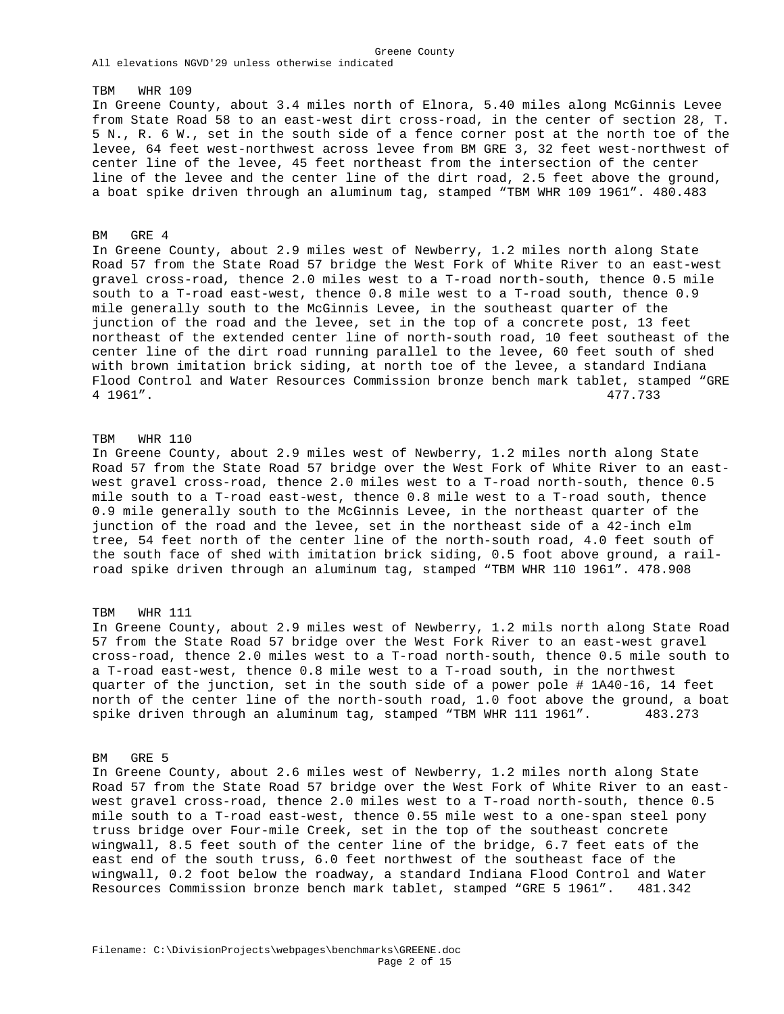#### TBM WHR 109

In Greene County, about 3.4 miles north of Elnora, 5.40 miles along McGinnis Levee from State Road 58 to an east-west dirt cross-road, in the center of section 28, T. 5 N., R. 6 W., set in the south side of a fence corner post at the north toe of the levee, 64 feet west-northwest across levee from BM GRE 3, 32 feet west-northwest of center line of the levee, 45 feet northeast from the intersection of the center line of the levee and the center line of the dirt road, 2.5 feet above the ground, a boat spike driven through an aluminum tag, stamped "TBM WHR 109 1961". 480.483

Greene County

#### BM GRE 4

In Greene County, about 2.9 miles west of Newberry, 1.2 miles north along State Road 57 from the State Road 57 bridge the West Fork of White River to an east-west gravel cross-road, thence 2.0 miles west to a T-road north-south, thence 0.5 mile south to a T-road east-west, thence 0.8 mile west to a T-road south, thence 0.9 mile generally south to the McGinnis Levee, in the southeast quarter of the junction of the road and the levee, set in the top of a concrete post, 13 feet northeast of the extended center line of north-south road, 10 feet southeast of the center line of the dirt road running parallel to the levee, 60 feet south of shed with brown imitation brick siding, at north toe of the levee, a standard Indiana Flood Control and Water Resources Commission bronze bench mark tablet, stamped "GRE 4 1961". 477.733

#### TBM WHR 110

In Greene County, about 2.9 miles west of Newberry, 1.2 miles north along State Road 57 from the State Road 57 bridge over the West Fork of White River to an eastwest gravel cross-road, thence 2.0 miles west to a T-road north-south, thence 0.5 mile south to a T-road east-west, thence 0.8 mile west to a T-road south, thence 0.9 mile generally south to the McGinnis Levee, in the northeast quarter of the junction of the road and the levee, set in the northeast side of a 42-inch elm tree, 54 feet north of the center line of the north-south road, 4.0 feet south of the south face of shed with imitation brick siding, 0.5 foot above ground, a railroad spike driven through an aluminum tag, stamped "TBM WHR 110 1961". 478.908

# TBM WHR 111

In Greene County, about 2.9 miles west of Newberry, 1.2 mils north along State Road 57 from the State Road 57 bridge over the West Fork River to an east-west gravel cross-road, thence 2.0 miles west to a T-road north-south, thence 0.5 mile south to a T-road east-west, thence 0.8 mile west to a T-road south, in the northwest quarter of the junction, set in the south side of a power pole # 1A40-16, 14 feet north of the center line of the north-south road, 1.0 foot above the ground, a boat spike driven through an aluminum tag, stamped "TBM WHR 111 1961". 483.273

#### BM GRE 5

In Greene County, about 2.6 miles west of Newberry, 1.2 miles north along State Road 57 from the State Road 57 bridge over the West Fork of White River to an eastwest gravel cross-road, thence 2.0 miles west to a T-road north-south, thence 0.5 mile south to a T-road east-west, thence 0.55 mile west to a one-span steel pony truss bridge over Four-mile Creek, set in the top of the southeast concrete wingwall, 8.5 feet south of the center line of the bridge, 6.7 feet eats of the east end of the south truss, 6.0 feet northwest of the southeast face of the wingwall, 0.2 foot below the roadway, a standard Indiana Flood Control and Water Resources Commission bronze bench mark tablet, stamped "GRE 5 1961". 481.342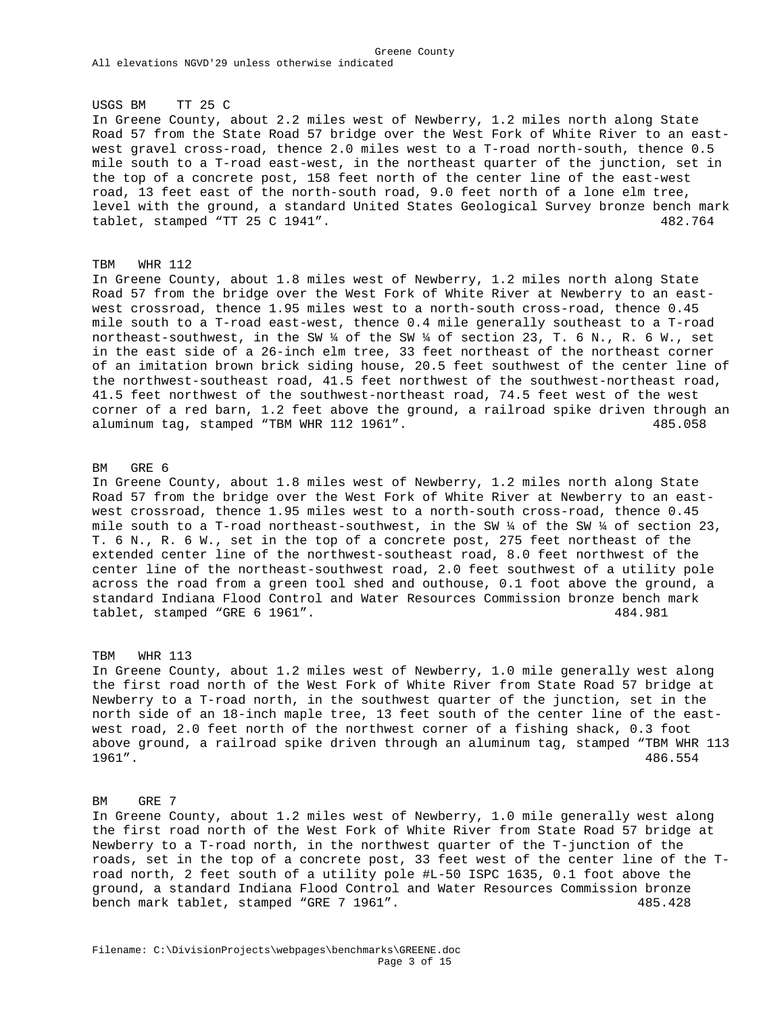Greene County All elevations NGVD'29 unless otherwise indicated

#### USGS BM TT 25 C

In Greene County, about 2.2 miles west of Newberry, 1.2 miles north along State Road 57 from the State Road 57 bridge over the West Fork of White River to an eastwest gravel cross-road, thence 2.0 miles west to a T-road north-south, thence 0.5 mile south to a T-road east-west, in the northeast quarter of the junction, set in the top of a concrete post, 158 feet north of the center line of the east-west road, 13 feet east of the north-south road, 9.0 feet north of a lone elm tree, level with the ground, a standard United States Geological Survey bronze bench mark tablet, stamped "TT 25 C 1941". 482.764

#### TBM WHR 112

In Greene County, about 1.8 miles west of Newberry, 1.2 miles north along State Road 57 from the bridge over the West Fork of White River at Newberry to an eastwest crossroad, thence 1.95 miles west to a north-south cross-road, thence 0.45 mile south to a T-road east-west, thence 0.4 mile generally southeast to a T-road northeast-southwest, in the SW ¼ of the SW ¼ of section 23, T. 6 N., R. 6 W., set in the east side of a 26-inch elm tree, 33 feet northeast of the northeast corner of an imitation brown brick siding house, 20.5 feet southwest of the center line of the northwest-southeast road, 41.5 feet northwest of the southwest-northeast road, 41.5 feet northwest of the southwest-northeast road, 74.5 feet west of the west corner of a red barn, 1.2 feet above the ground, a railroad spike driven through an aluminum tag, stamped "TBM WHR 112 1961". 485.058

#### BM GRE 6

In Greene County, about 1.8 miles west of Newberry, 1.2 miles north along State Road 57 from the bridge over the West Fork of White River at Newberry to an eastwest crossroad, thence 1.95 miles west to a north-south cross-road, thence 0.45 mile south to a T-road northeast-southwest, in the SW  $\frac{1}{4}$  of the SW  $\frac{1}{4}$  of section 23, T. 6 N., R. 6 W., set in the top of a concrete post, 275 feet northeast of the extended center line of the northwest-southeast road, 8.0 feet northwest of the center line of the northeast-southwest road, 2.0 feet southwest of a utility pole across the road from a green tool shed and outhouse, 0.1 foot above the ground, a standard Indiana Flood Control and Water Resources Commission bronze bench mark tablet, stamped "GRE 6 1961". 484.981

#### TBM WHR 113

In Greene County, about 1.2 miles west of Newberry, 1.0 mile generally west along the first road north of the West Fork of White River from State Road 57 bridge at Newberry to a T-road north, in the southwest quarter of the junction, set in the north side of an 18-inch maple tree, 13 feet south of the center line of the eastwest road, 2.0 feet north of the northwest corner of a fishing shack, 0.3 foot above ground, a railroad spike driven through an aluminum tag, stamped "TBM WHR 113 1961". 486.554

## BM GRE 7

In Greene County, about 1.2 miles west of Newberry, 1.0 mile generally west along the first road north of the West Fork of White River from State Road 57 bridge at Newberry to a T-road north, in the northwest quarter of the T-junction of the roads, set in the top of a concrete post, 33 feet west of the center line of the Troad north, 2 feet south of a utility pole #L-50 ISPC 1635, 0.1 foot above the ground, a standard Indiana Flood Control and Water Resources Commission bronze bench mark tablet, stamped "GRE 7 1961". 485.428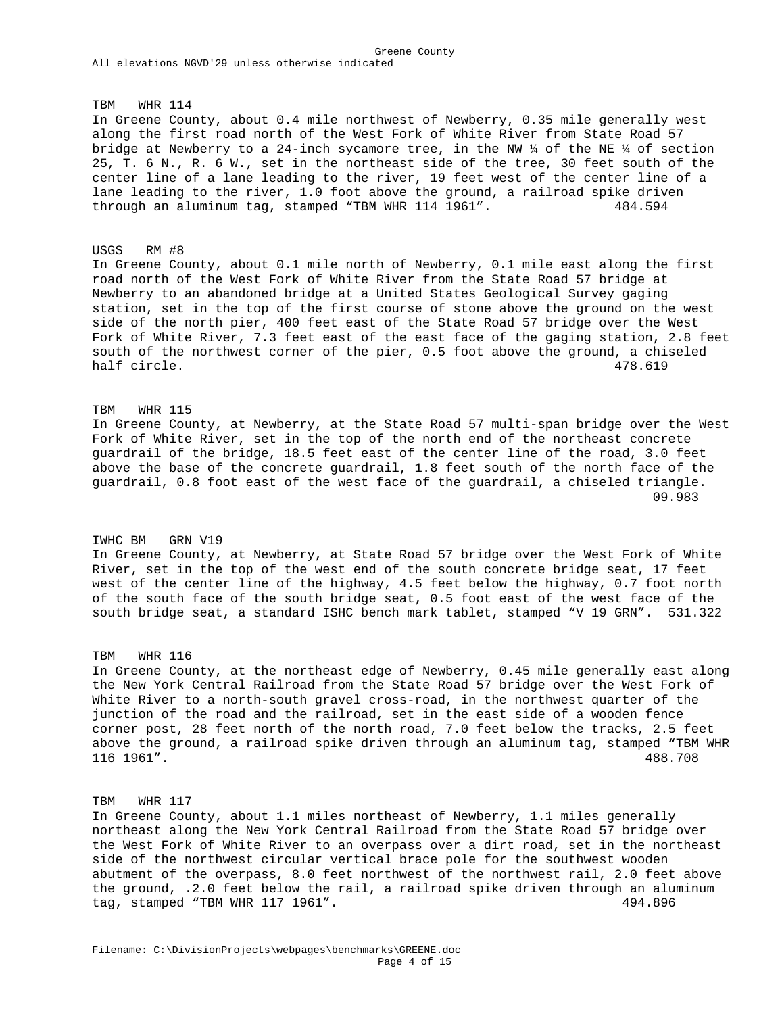TBM WHR 114

In Greene County, about 0.4 mile northwest of Newberry, 0.35 mile generally west along the first road north of the West Fork of White River from State Road 57 bridge at Newberry to a 24-inch sycamore tree, in the NW  $\frac{1}{4}$  of the NE  $\frac{1}{4}$  of section 25, T. 6 N., R. 6 W., set in the northeast side of the tree, 30 feet south of the center line of a lane leading to the river, 19 feet west of the center line of a lane leading to the river, 1.0 foot above the ground, a railroad spike driven through an aluminum tag, stamped "TBM WHR 114 1961". 484.594

#### USGS RM #8

In Greene County, about 0.1 mile north of Newberry, 0.1 mile east along the first road north of the West Fork of White River from the State Road 57 bridge at Newberry to an abandoned bridge at a United States Geological Survey gaging station, set in the top of the first course of stone above the ground on the west side of the north pier, 400 feet east of the State Road 57 bridge over the West Fork of White River, 7.3 feet east of the east face of the gaging station, 2.8 feet south of the northwest corner of the pier, 0.5 foot above the ground, a chiseled half circle. 478.619

#### TBM WHR 115

In Greene County, at Newberry, at the State Road 57 multi-span bridge over the West Fork of White River, set in the top of the north end of the northeast concrete guardrail of the bridge, 18.5 feet east of the center line of the road, 3.0 feet above the base of the concrete guardrail, 1.8 feet south of the north face of the guardrail, 0.8 foot east of the west face of the guardrail, a chiseled triangle.  $09.983$ 

## IWHC BM GRN V19

In Greene County, at Newberry, at State Road 57 bridge over the West Fork of White River, set in the top of the west end of the south concrete bridge seat, 17 feet west of the center line of the highway, 4.5 feet below the highway, 0.7 foot north of the south face of the south bridge seat, 0.5 foot east of the west face of the south bridge seat, a standard ISHC bench mark tablet, stamped "V 19 GRN". 531.322

#### TBM WHR 116

In Greene County, at the northeast edge of Newberry, 0.45 mile generally east along the New York Central Railroad from the State Road 57 bridge over the West Fork of White River to a north-south gravel cross-road, in the northwest quarter of the junction of the road and the railroad, set in the east side of a wooden fence corner post, 28 feet north of the north road, 7.0 feet below the tracks, 2.5 feet above the ground, a railroad spike driven through an aluminum tag, stamped "TBM WHR 116 1961". 488.708

## TBM WHR 117

In Greene County, about 1.1 miles northeast of Newberry, 1.1 miles generally northeast along the New York Central Railroad from the State Road 57 bridge over the West Fork of White River to an overpass over a dirt road, set in the northeast side of the northwest circular vertical brace pole for the southwest wooden abutment of the overpass, 8.0 feet northwest of the northwest rail, 2.0 feet above the ground, .2.0 feet below the rail, a railroad spike driven through an aluminum tag, stamped "TBM WHR 117 1961". 494.896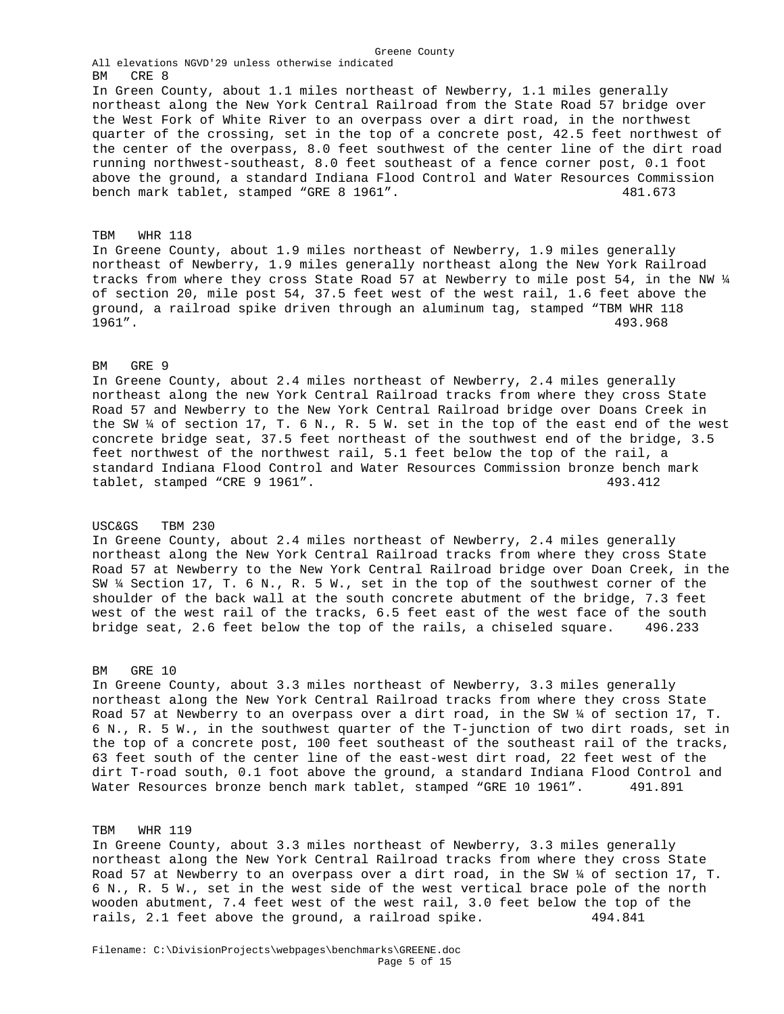All elevations NGVD'29 unless otherwise indicated BM CRE 8 In Green County, about 1.1 miles northeast of Newberry, 1.1 miles generally northeast along the New York Central Railroad from the State Road 57 bridge over the West Fork of White River to an overpass over a dirt road, in the northwest quarter of the crossing, set in the top of a concrete post, 42.5 feet northwest of the center of the overpass, 8.0 feet southwest of the center line of the dirt road running northwest-southeast, 8.0 feet southeast of a fence corner post, 0.1 foot above the ground, a standard Indiana Flood Control and Water Resources Commission bench mark tablet, stamped "GRE 8 1961". 481.673

Greene County

#### TBM WHR 118

In Greene County, about 1.9 miles northeast of Newberry, 1.9 miles generally northeast of Newberry, 1.9 miles generally northeast along the New York Railroad tracks from where they cross State Road 57 at Newberry to mile post 54, in the NW ¼ of section 20, mile post 54, 37.5 feet west of the west rail, 1.6 feet above the ground, a railroad spike driven through an aluminum tag, stamped "TBM WHR 118 1961". 493.968

## BM GRE 9

In Greene County, about 2.4 miles northeast of Newberry, 2.4 miles generally northeast along the new York Central Railroad tracks from where they cross State Road 57 and Newberry to the New York Central Railroad bridge over Doans Creek in the SW  $\frac{1}{4}$  of section 17, T. 6 N., R. 5 W. set in the top of the east end of the west concrete bridge seat, 37.5 feet northeast of the southwest end of the bridge, 3.5 feet northwest of the northwest rail, 5.1 feet below the top of the rail, a standard Indiana Flood Control and Water Resources Commission bronze bench mark tablet, stamped "CRE 9 1961". 493.412

## USC&GS TBM 230

In Greene County, about 2.4 miles northeast of Newberry, 2.4 miles generally northeast along the New York Central Railroad tracks from where they cross State Road 57 at Newberry to the New York Central Railroad bridge over Doan Creek, in the SW ¼ Section 17, T. 6 N., R. 5 W., set in the top of the southwest corner of the shoulder of the back wall at the south concrete abutment of the bridge, 7.3 feet west of the west rail of the tracks, 6.5 feet east of the west face of the south bridge seat, 2.6 feet below the top of the rails, a chiseled square. 496.233

## BM GRE 10

In Greene County, about 3.3 miles northeast of Newberry, 3.3 miles generally northeast along the New York Central Railroad tracks from where they cross State Road 57 at Newberry to an overpass over a dirt road, in the SW ¼ of section 17, T. 6 N., R. 5 W., in the southwest quarter of the T-junction of two dirt roads, set in the top of a concrete post, 100 feet southeast of the southeast rail of the tracks, 63 feet south of the center line of the east-west dirt road, 22 feet west of the dirt T-road south, 0.1 foot above the ground, a standard Indiana Flood Control and Water Resources bronze bench mark tablet, stamped "GRE 10 1961". 491.891

#### TBM WHR 119

In Greene County, about 3.3 miles northeast of Newberry, 3.3 miles generally northeast along the New York Central Railroad tracks from where they cross State Road 57 at Newberry to an overpass over a dirt road, in the SW ¼ of section 17, T. 6 N., R. 5 W., set in the west side of the west vertical brace pole of the north wooden abutment, 7.4 feet west of the west rail, 3.0 feet below the top of the rails, 2.1 feet above the ground, a railroad spike. 494.841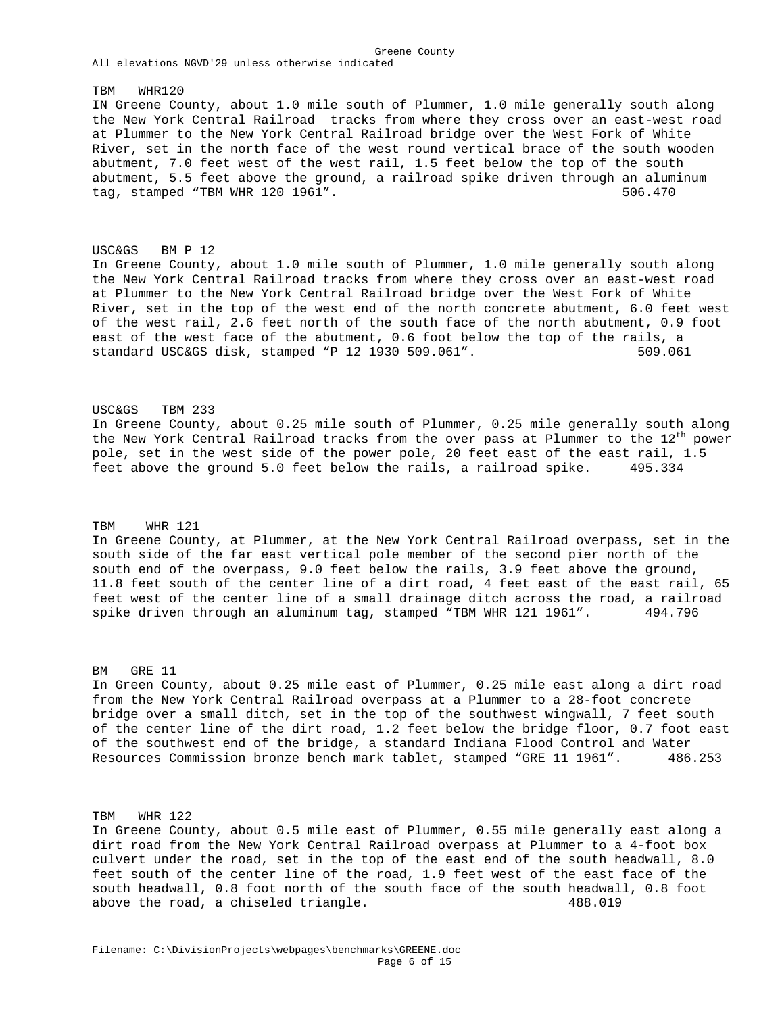TBM WHR120 IN Greene County, about 1.0 mile south of Plummer, 1.0 mile generally south along the New York Central Railroad tracks from where they cross over an east-west road at Plummer to the New York Central Railroad bridge over the West Fork of White River, set in the north face of the west round vertical brace of the south wooden abutment, 7.0 feet west of the west rail, 1.5 feet below the top of the south abutment, 5.5 feet above the ground, a railroad spike driven through an aluminum tag, stamped "TBM WHR 120 1961". 506.470

Greene County

USC&GS BM P 12 In Greene County, about 1.0 mile south of Plummer, 1.0 mile generally south along the New York Central Railroad tracks from where they cross over an east-west road at Plummer to the New York Central Railroad bridge over the West Fork of White River, set in the top of the west end of the north concrete abutment, 6.0 feet west of the west rail, 2.6 feet north of the south face of the north abutment, 0.9 foot east of the west face of the abutment, 0.6 foot below the top of the rails, a standard USC&GS disk, stamped "P 12 1930 509.061". 509.061

USC&GS TBM 233 In Greene County, about 0.25 mile south of Plummer, 0.25 mile generally south along the New York Central Railroad tracks from the over pass at Plummer to the  $12<sup>th</sup>$  power pole, set in the west side of the power pole, 20 feet east of the east rail, 1.5 feet above the ground 5.0 feet below the rails, a railroad spike. 495.334

## TBM WHR 121

In Greene County, at Plummer, at the New York Central Railroad overpass, set in the south side of the far east vertical pole member of the second pier north of the south end of the overpass, 9.0 feet below the rails, 3.9 feet above the ground, 11.8 feet south of the center line of a dirt road, 4 feet east of the east rail, 65 feet west of the center line of a small drainage ditch across the road, a railroad spike driven through an aluminum tag, stamped "TBM WHR 121 1961". 494.796

BM GRE 11

In Green County, about 0.25 mile east of Plummer, 0.25 mile east along a dirt road from the New York Central Railroad overpass at a Plummer to a 28-foot concrete bridge over a small ditch, set in the top of the southwest wingwall, 7 feet south of the center line of the dirt road, 1.2 feet below the bridge floor, 0.7 foot east of the southwest end of the bridge, a standard Indiana Flood Control and Water Resources Commission bronze bench mark tablet, stamped "GRE 11 1961". 486.253

TBM WHR 122

In Greene County, about 0.5 mile east of Plummer, 0.55 mile generally east along a dirt road from the New York Central Railroad overpass at Plummer to a 4-foot box culvert under the road, set in the top of the east end of the south headwall, 8.0 feet south of the center line of the road, 1.9 feet west of the east face of the south headwall, 0.8 foot north of the south face of the south headwall, 0.8 foot above the road, a chiseled triangle. 488.019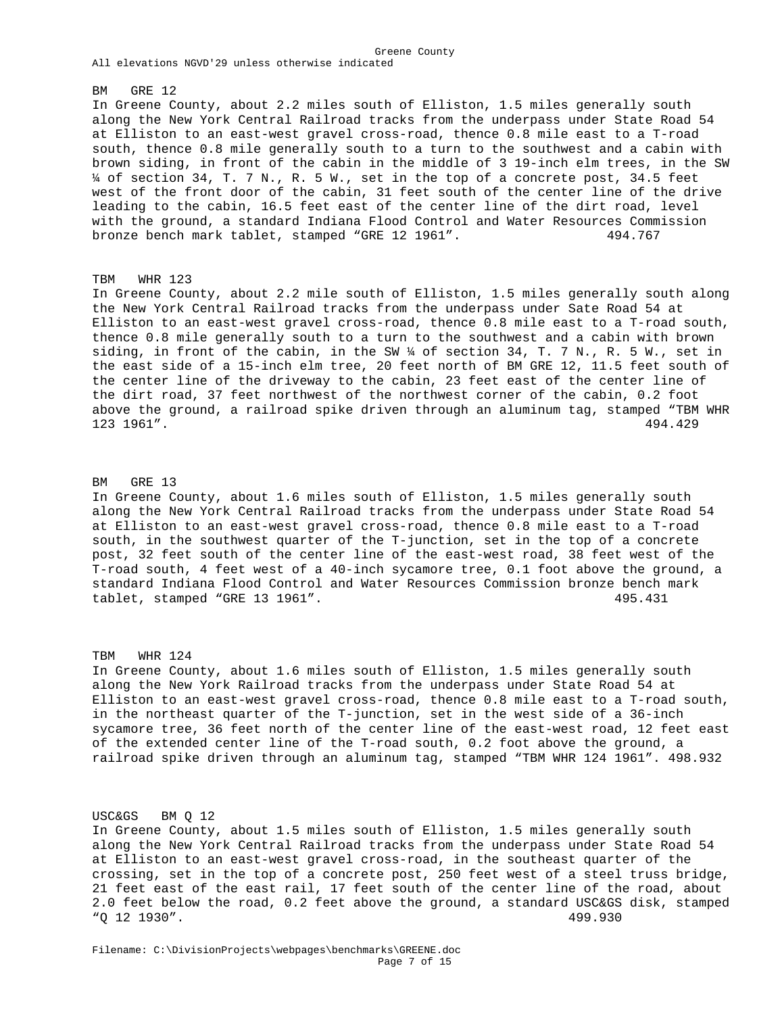#### BM GRE 12

In Greene County, about 2.2 miles south of Elliston, 1.5 miles generally south along the New York Central Railroad tracks from the underpass under State Road 54 at Elliston to an east-west gravel cross-road, thence 0.8 mile east to a T-road south, thence 0.8 mile generally south to a turn to the southwest and a cabin with brown siding, in front of the cabin in the middle of 3 19-inch elm trees, in the SW ¼ of section 34, T. 7 N., R. 5 W., set in the top of a concrete post, 34.5 feet west of the front door of the cabin, 31 feet south of the center line of the drive leading to the cabin, 16.5 feet east of the center line of the dirt road, level with the ground, a standard Indiana Flood Control and Water Resources Commission bronze bench mark tablet, stamped "GRE 12 1961". 494.767

Greene County

#### TBM WHR 123

In Greene County, about 2.2 mile south of Elliston, 1.5 miles generally south along the New York Central Railroad tracks from the underpass under Sate Road 54 at Elliston to an east-west gravel cross-road, thence 0.8 mile east to a T-road south, thence 0.8 mile generally south to a turn to the southwest and a cabin with brown siding, in front of the cabin, in the SW ¼ of section 34, T. 7 N., R. 5 W., set in the east side of a 15-inch elm tree, 20 feet north of BM GRE 12, 11.5 feet south of the center line of the driveway to the cabin, 23 feet east of the center line of the dirt road, 37 feet northwest of the northwest corner of the cabin, 0.2 foot above the ground, a railroad spike driven through an aluminum tag, stamped "TBM WHR 123 1961". 494.429

#### BM GRE 13

In Greene County, about 1.6 miles south of Elliston, 1.5 miles generally south along the New York Central Railroad tracks from the underpass under State Road 54 at Elliston to an east-west gravel cross-road, thence 0.8 mile east to a T-road south, in the southwest quarter of the T-junction, set in the top of a concrete post, 32 feet south of the center line of the east-west road, 38 feet west of the T-road south, 4 feet west of a 40-inch sycamore tree, 0.1 foot above the ground, a standard Indiana Flood Control and Water Resources Commission bronze bench mark tablet, stamped "GRE 13 1961". 495.431

#### TBM WHR 124

In Greene County, about 1.6 miles south of Elliston, 1.5 miles generally south along the New York Railroad tracks from the underpass under State Road 54 at Elliston to an east-west gravel cross-road, thence 0.8 mile east to a T-road south, in the northeast quarter of the T-junction, set in the west side of a 36-inch sycamore tree, 36 feet north of the center line of the east-west road, 12 feet east of the extended center line of the T-road south, 0.2 foot above the ground, a railroad spike driven through an aluminum tag, stamped "TBM WHR 124 1961". 498.932

# USC&GS BM Q 12

In Greene County, about 1.5 miles south of Elliston, 1.5 miles generally south along the New York Central Railroad tracks from the underpass under State Road 54 at Elliston to an east-west gravel cross-road, in the southeast quarter of the crossing, set in the top of a concrete post, 250 feet west of a steel truss bridge, 21 feet east of the east rail, 17 feet south of the center line of the road, about 2.0 feet below the road, 0.2 feet above the ground, a standard USC&GS disk, stamped "Q 12 1930". 499.930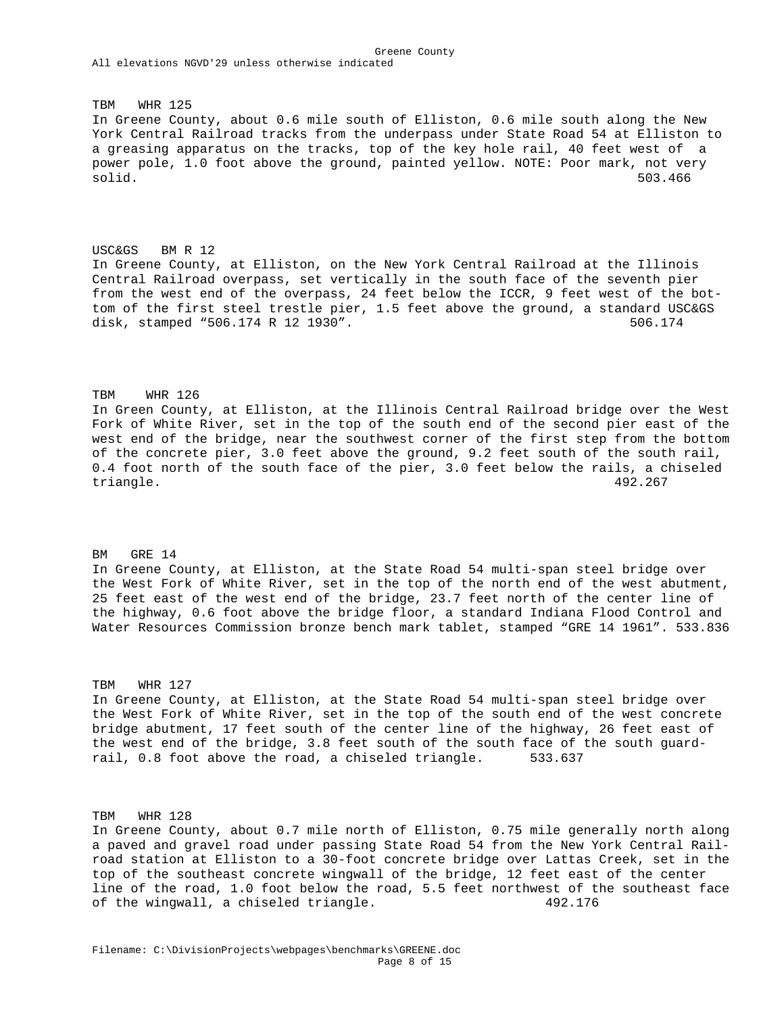TBM WHR 125 In Greene County, about 0.6 mile south of Elliston, 0.6 mile south along the New York Central Railroad tracks from the underpass under State Road 54 at Elliston to a greasing apparatus on the tracks, top of the key hole rail, 40 feet west of a power pole, 1.0 foot above the ground, painted yellow. NOTE: Poor mark, not very<br>solid. 503.466 solid. 503.466

USC&GS BM R 12 In Greene County, at Elliston, on the New York Central Railroad at the Illinois Central Railroad overpass, set vertically in the south face of the seventh pier from the west end of the overpass, 24 feet below the ICCR, 9 feet west of the bottom of the first steel trestle pier, 1.5 feet above the ground, a standard USC&GS disk, stamped "506.174 R 12 1930". 506.174

# TBM WHR 126

In Green County, at Elliston, at the Illinois Central Railroad bridge over the West Fork of White River, set in the top of the south end of the second pier east of the west end of the bridge, near the southwest corner of the first step from the bottom of the concrete pier, 3.0 feet above the ground, 9.2 feet south of the south rail, 0.4 foot north of the south face of the pier, 3.0 feet below the rails, a chiseled triangle. 492.267

BM GRE 14 In Greene County, at Elliston, at the State Road 54 multi-span steel bridge over the West Fork of White River, set in the top of the north end of the west abutment, 25 feet east of the west end of the bridge, 23.7 feet north of the center line of the highway, 0.6 foot above the bridge floor, a standard Indiana Flood Control and Water Resources Commission bronze bench mark tablet, stamped "GRE 14 1961". 533.836

#### TBM WHR 127

In Greene County, at Elliston, at the State Road 54 multi-span steel bridge over the West Fork of White River, set in the top of the south end of the west concrete bridge abutment, 17 feet south of the center line of the highway, 26 feet east of the west end of the bridge, 3.8 feet south of the south face of the south guardrail, 0.8 foot above the road, a chiseled triangle. 533.637

# TBM WHR 128

In Greene County, about 0.7 mile north of Elliston, 0.75 mile generally north along a paved and gravel road under passing State Road 54 from the New York Central Railroad station at Elliston to a 30-foot concrete bridge over Lattas Creek, set in the top of the southeast concrete wingwall of the bridge, 12 feet east of the center line of the road, 1.0 foot below the road, 5.5 feet northwest of the southeast face of the wingwall, a chiseled triangle. 492.176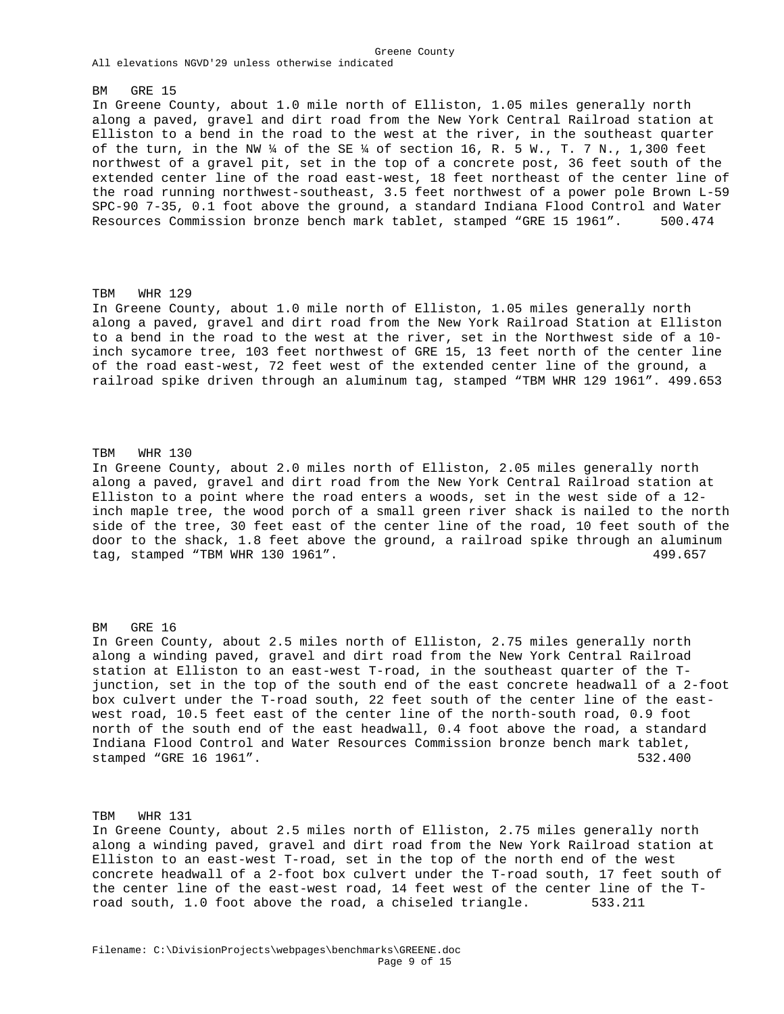#### BM GRE 15

In Greene County, about 1.0 mile north of Elliston, 1.05 miles generally north along a paved, gravel and dirt road from the New York Central Railroad station at Elliston to a bend in the road to the west at the river, in the southeast quarter of the turn, in the NW  $\frac{1}{4}$  of the SE  $\frac{1}{4}$  of section 16, R. 5 W., T. 7 N., 1,300 feet northwest of a gravel pit, set in the top of a concrete post, 36 feet south of the extended center line of the road east-west, 18 feet northeast of the center line of the road running northwest-southeast, 3.5 feet northwest of a power pole Brown L-59 SPC-90 7-35, 0.1 foot above the ground, a standard Indiana Flood Control and Water Resources Commission bronze bench mark tablet, stamped "GRE 15 1961". 500.474

Greene County

## TBM WHR 129

In Greene County, about 1.0 mile north of Elliston, 1.05 miles generally north along a paved, gravel and dirt road from the New York Railroad Station at Elliston to a bend in the road to the west at the river, set in the Northwest side of a 10 inch sycamore tree, 103 feet northwest of GRE 15, 13 feet north of the center line of the road east-west, 72 feet west of the extended center line of the ground, a railroad spike driven through an aluminum tag, stamped "TBM WHR 129 1961". 499.653

## TBM WHR 130

In Greene County, about 2.0 miles north of Elliston, 2.05 miles generally north along a paved, gravel and dirt road from the New York Central Railroad station at Elliston to a point where the road enters a woods, set in the west side of a 12 inch maple tree, the wood porch of a small green river shack is nailed to the north side of the tree, 30 feet east of the center line of the road, 10 feet south of the door to the shack, 1.8 feet above the ground, a railroad spike through an aluminum tag, stamped "TBM WHR 130 1961".  $499.657$ 

#### BM GRE 16

In Green County, about 2.5 miles north of Elliston, 2.75 miles generally north along a winding paved, gravel and dirt road from the New York Central Railroad station at Elliston to an east-west T-road, in the southeast quarter of the Tjunction, set in the top of the south end of the east concrete headwall of a 2-foot box culvert under the T-road south, 22 feet south of the center line of the eastwest road, 10.5 feet east of the center line of the north-south road, 0.9 foot north of the south end of the east headwall, 0.4 foot above the road, a standard Indiana Flood Control and Water Resources Commission bronze bench mark tablet, stamped "GRE 16 1961". 532.400

TBM WHR 131 In Greene County, about 2.5 miles north of Elliston, 2.75 miles generally north along a winding paved, gravel and dirt road from the New York Railroad station at Elliston to an east-west T-road, set in the top of the north end of the west concrete headwall of a 2-foot box culvert under the T-road south, 17 feet south of the center line of the east-west road, 14 feet west of the center line of the Troad south, 1.0 foot above the road, a chiseled triangle. 533.211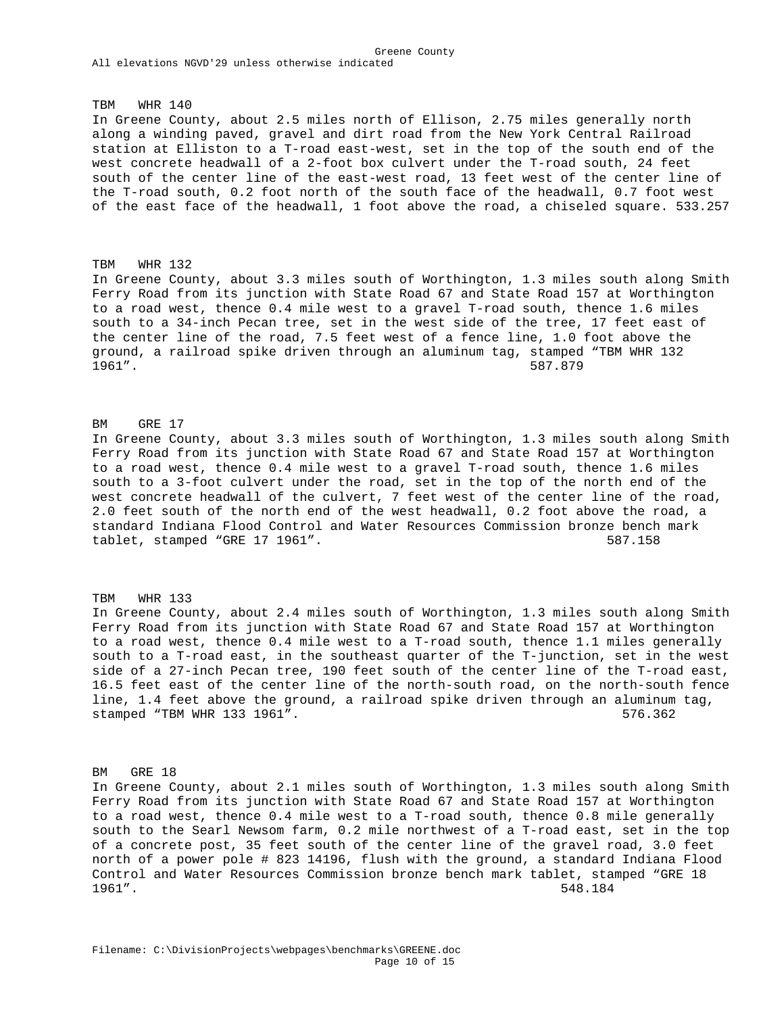TBM WHR 140 In Greene County, about 2.5 miles north of Ellison, 2.75 miles generally north along a winding paved, gravel and dirt road from the New York Central Railroad station at Elliston to a T-road east-west, set in the top of the south end of the west concrete headwall of a 2-foot box culvert under the T-road south, 24 feet south of the center line of the east-west road, 13 feet west of the center line of the T-road south, 0.2 foot north of the south face of the headwall, 0.7 foot west of the east face of the headwall, 1 foot above the road, a chiseled square. 533.257

## TBM WHR 132

In Greene County, about 3.3 miles south of Worthington, 1.3 miles south along Smith Ferry Road from its junction with State Road 67 and State Road 157 at Worthington to a road west, thence 0.4 mile west to a gravel T-road south, thence 1.6 miles south to a 34-inch Pecan tree, set in the west side of the tree, 17 feet east of the center line of the road, 7.5 feet west of a fence line, 1.0 foot above the ground, a railroad spike driven through an aluminum tag, stamped "TBM WHR 132 1961". 587.879

#### BM GRE 17

In Greene County, about 3.3 miles south of Worthington, 1.3 miles south along Smith Ferry Road from its junction with State Road 67 and State Road 157 at Worthington to a road west, thence 0.4 mile west to a gravel T-road south, thence 1.6 miles south to a 3-foot culvert under the road, set in the top of the north end of the west concrete headwall of the culvert, 7 feet west of the center line of the road, 2.0 feet south of the north end of the west headwall, 0.2 foot above the road, a standard Indiana Flood Control and Water Resources Commission bronze bench mark tablet, stamped "GRE 17 1961". 587.158

#### TBM WHR 133

In Greene County, about 2.4 miles south of Worthington, 1.3 miles south along Smith Ferry Road from its junction with State Road 67 and State Road 157 at Worthington to a road west, thence 0.4 mile west to a T-road south, thence 1.1 miles generally south to a T-road east, in the southeast quarter of the T-junction, set in the west side of a 27-inch Pecan tree, 190 feet south of the center line of the T-road east, 16.5 feet east of the center line of the north-south road, on the north-south fence line, 1.4 feet above the ground, a railroad spike driven through an aluminum tag, stamped "TBM WHR 133 1961". 576.362

#### BM GRE 18

In Greene County, about 2.1 miles south of Worthington, 1.3 miles south along Smith Ferry Road from its junction with State Road 67 and State Road 157 at Worthington to a road west, thence 0.4 mile west to a T-road south, thence 0.8 mile generally south to the Searl Newsom farm, 0.2 mile northwest of a T-road east, set in the top of a concrete post, 35 feet south of the center line of the gravel road, 3.0 feet north of a power pole # 823 14196, flush with the ground, a standard Indiana Flood Control and Water Resources Commission bronze bench mark tablet, stamped "GRE 18 1961". 548.184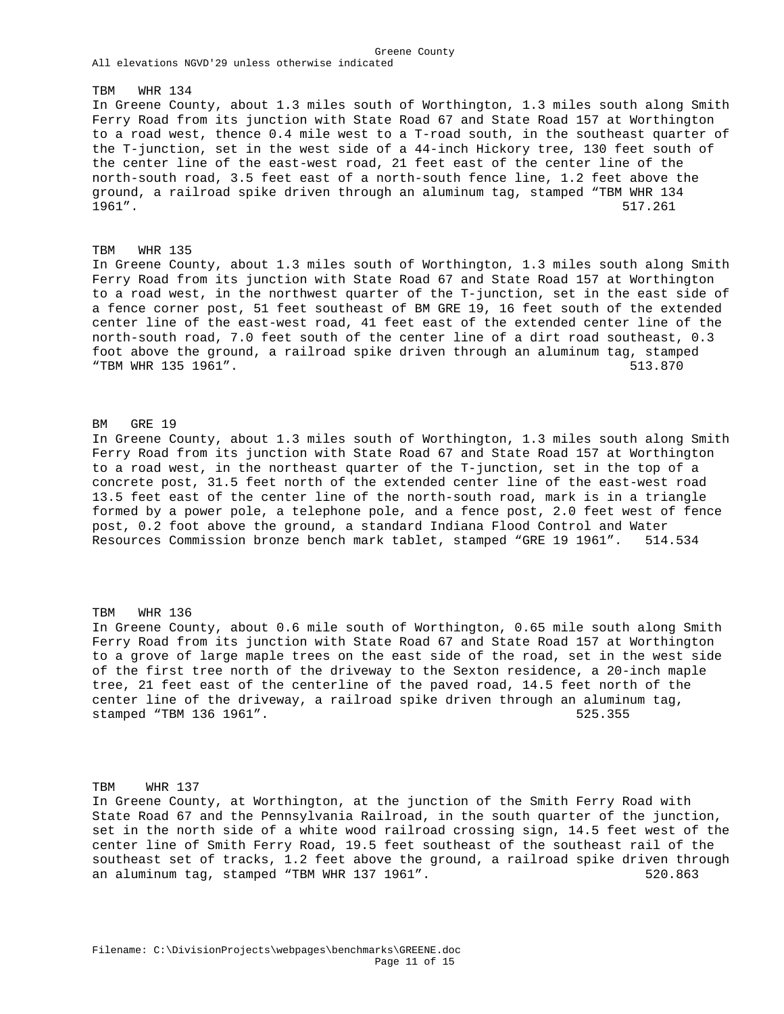TBM WHR 134 In Greene County, about 1.3 miles south of Worthington, 1.3 miles south along Smith Ferry Road from its junction with State Road 67 and State Road 157 at Worthington to a road west, thence 0.4 mile west to a T-road south, in the southeast quarter of the T-junction, set in the west side of a 44-inch Hickory tree, 130 feet south of the center line of the east-west road, 21 feet east of the center line of the north-south road, 3.5 feet east of a north-south fence line, 1.2 feet above the ground, a railroad spike driven through an aluminum tag, stamped "TBM WHR 134 1961". 517.261

Greene County

# TBM WHR 135 In Greene County, about 1.3 miles south of Worthington, 1.3 miles south along Smith Ferry Road from its junction with State Road 67 and State Road 157 at Worthington to a road west, in the northwest quarter of the T-junction, set in the east side of a fence corner post, 51 feet southeast of BM GRE 19, 16 feet south of the extended center line of the east-west road, 41 feet east of the extended center line of the north-south road, 7.0 feet south of the center line of a dirt road southeast, 0.3 foot above the ground, a railroad spike driven through an aluminum tag, stamped "TBM WHR 135 1961". 513.870

## BM GRE 19

In Greene County, about 1.3 miles south of Worthington, 1.3 miles south along Smith Ferry Road from its junction with State Road 67 and State Road 157 at Worthington to a road west, in the northeast quarter of the T-junction, set in the top of a concrete post, 31.5 feet north of the extended center line of the east-west road 13.5 feet east of the center line of the north-south road, mark is in a triangle formed by a power pole, a telephone pole, and a fence post, 2.0 feet west of fence post, 0.2 foot above the ground, a standard Indiana Flood Control and Water Resources Commission bronze bench mark tablet, stamped "GRE 19 1961". 514.534

# TBM WHR 136 In Greene County, about 0.6 mile south of Worthington, 0.65 mile south along Smith Ferry Road from its junction with State Road 67 and State Road 157 at Worthington to a grove of large maple trees on the east side of the road, set in the west side of the first tree north of the driveway to the Sexton residence, a 20-inch maple tree, 21 feet east of the centerline of the paved road, 14.5 feet north of the center line of the driveway, a railroad spike driven through an aluminum tag, stamped "TBM 136 1961". 525.355

TBM WHR 137

In Greene County, at Worthington, at the junction of the Smith Ferry Road with State Road 67 and the Pennsylvania Railroad, in the south quarter of the junction, set in the north side of a white wood railroad crossing sign, 14.5 feet west of the center line of Smith Ferry Road, 19.5 feet southeast of the southeast rail of the southeast set of tracks, 1.2 feet above the ground, a railroad spike driven through an aluminum tag, stamped "TBM WHR 137 1961". The same state of the state of the state of the state of the stat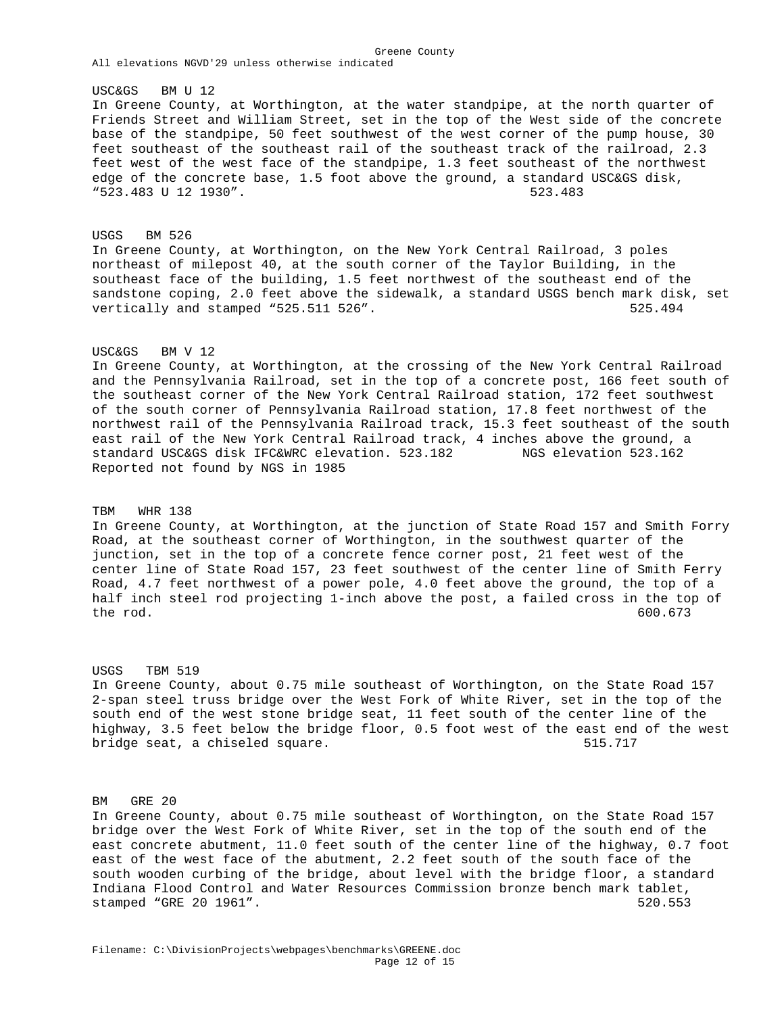USC&GS BM U 12

In Greene County, at Worthington, at the water standpipe, at the north quarter of Friends Street and William Street, set in the top of the West side of the concrete base of the standpipe, 50 feet southwest of the west corner of the pump house, 30 feet southeast of the southeast rail of the southeast track of the railroad, 2.3 feet west of the west face of the standpipe, 1.3 feet southeast of the northwest edge of the concrete base, 1.5 foot above the ground, a standard USC&GS disk, "523.483 U 12 1930". 523.483

Greene County

USGS BM 526 In Greene County, at Worthington, on the New York Central Railroad, 3 poles northeast of milepost 40, at the south corner of the Taylor Building, in the southeast face of the building, 1.5 feet northwest of the southeast end of the sandstone coping, 2.0 feet above the sidewalk, a standard USGS bench mark disk, set vertically and stamped "525.511 526". 525.511 526.494

## USC&GS BM V 12

In Greene County, at Worthington, at the crossing of the New York Central Railroad and the Pennsylvania Railroad, set in the top of a concrete post, 166 feet south of the southeast corner of the New York Central Railroad station, 172 feet southwest of the south corner of Pennsylvania Railroad station, 17.8 feet northwest of the northwest rail of the Pennsylvania Railroad track, 15.3 feet southeast of the south east rail of the New York Central Railroad track, 4 inches above the ground, a standard USC&GS disk IFC&WRC elevation. 523.182 NGS elevation 523.162 Reported not found by NGS in 1985

#### TBM WHR 138

In Greene County, at Worthington, at the junction of State Road 157 and Smith Forry Road, at the southeast corner of Worthington, in the southwest quarter of the junction, set in the top of a concrete fence corner post, 21 feet west of the center line of State Road 157, 23 feet southwest of the center line of Smith Ferry Road, 4.7 feet northwest of a power pole, 4.0 feet above the ground, the top of a half inch steel rod projecting 1-inch above the post, a failed cross in the top of the rod. 600.673

#### USGS TBM 519

In Greene County, about 0.75 mile southeast of Worthington, on the State Road 157 2-span steel truss bridge over the West Fork of White River, set in the top of the south end of the west stone bridge seat, 11 feet south of the center line of the highway, 3.5 feet below the bridge floor, 0.5 foot west of the east end of the west bridge seat, a chiseled square. The same seat of the seat of the seat of the seat of the seat of the seat of the seat of the seat of the seat of the seat of the seat of the seat of the seat of the seat of the seat of the s

#### BM GRE 20

In Greene County, about 0.75 mile southeast of Worthington, on the State Road 157 bridge over the West Fork of White River, set in the top of the south end of the east concrete abutment, 11.0 feet south of the center line of the highway, 0.7 foot east of the west face of the abutment, 2.2 feet south of the south face of the south wooden curbing of the bridge, about level with the bridge floor, a standard Indiana Flood Control and Water Resources Commission bronze bench mark tablet, stamped "GRE 20 1961". 520.553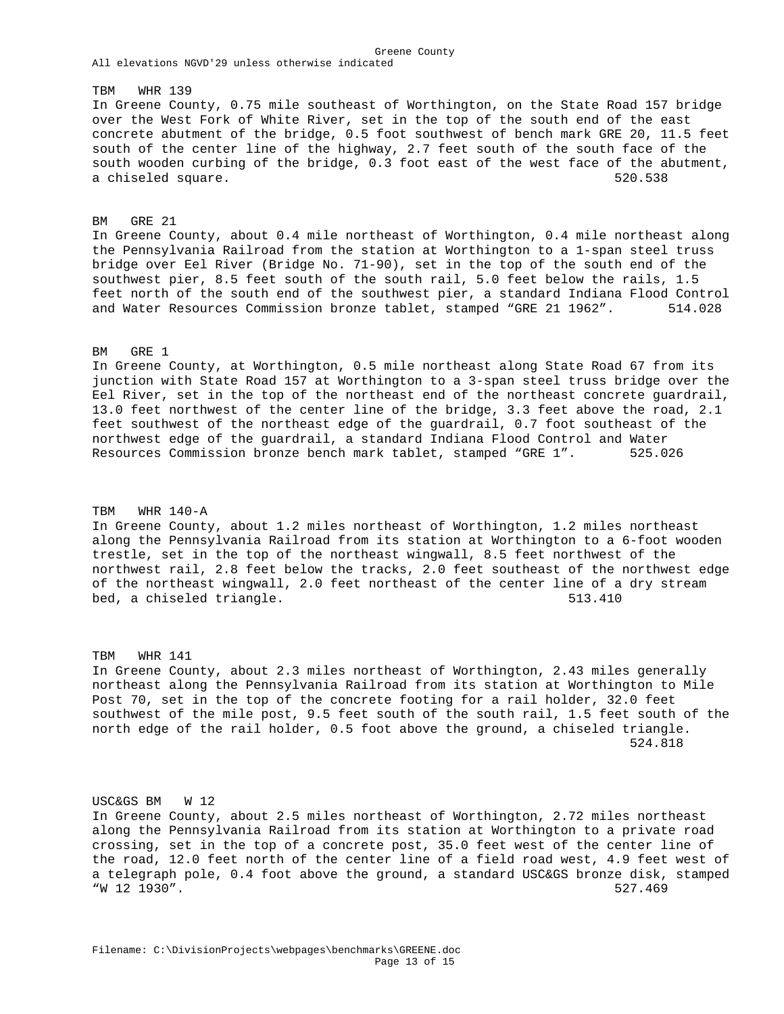## TBM WHR 139

In Greene County, 0.75 mile southeast of Worthington, on the State Road 157 bridge over the West Fork of White River, set in the top of the south end of the east concrete abutment of the bridge, 0.5 foot southwest of bench mark GRE 20, 11.5 feet south of the center line of the highway, 2.7 feet south of the south face of the south wooden curbing of the bridge, 0.3 foot east of the west face of the abutment, a chiseled square. 520.538

Greene County

### BM GRE 21

In Greene County, about 0.4 mile northeast of Worthington, 0.4 mile northeast along the Pennsylvania Railroad from the station at Worthington to a 1-span steel truss bridge over Eel River (Bridge No. 71-90), set in the top of the south end of the southwest pier, 8.5 feet south of the south rail, 5.0 feet below the rails, 1.5 feet north of the south end of the southwest pier, a standard Indiana Flood Control and Water Resources Commission bronze tablet, stamped "GRE 21 1962". 514.028

#### BM GRE 1

In Greene County, at Worthington, 0.5 mile northeast along State Road 67 from its junction with State Road 157 at Worthington to a 3-span steel truss bridge over the Eel River, set in the top of the northeast end of the northeast concrete guardrail, 13.0 feet northwest of the center line of the bridge, 3.3 feet above the road, 2.1 feet southwest of the northeast edge of the guardrail, 0.7 foot southeast of the northwest edge of the guardrail, a standard Indiana Flood Control and Water Resources Commission bronze bench mark tablet, stamped "GRE 1". 525.026

## TBM WHR 140-A

In Greene County, about 1.2 miles northeast of Worthington, 1.2 miles northeast along the Pennsylvania Railroad from its station at Worthington to a 6-foot wooden trestle, set in the top of the northeast wingwall, 8.5 feet northwest of the northwest rail, 2.8 feet below the tracks, 2.0 feet southeast of the northwest edge of the northeast wingwall, 2.0 feet northeast of the center line of a dry stream bed, a chiseled triangle. 513.410

TBM WHR 141 In Greene County, about 2.3 miles northeast of Worthington, 2.43 miles generally northeast along the Pennsylvania Railroad from its station at Worthington to Mile Post 70, set in the top of the concrete footing for a rail holder, 32.0 feet southwest of the mile post, 9.5 feet south of the south rail, 1.5 feet south of the north edge of the rail holder, 0.5 foot above the ground, a chiseled triangle. 524.818

USC&GS BM W 12 In Greene County, about 2.5 miles northeast of Worthington, 2.72 miles northeast along the Pennsylvania Railroad from its station at Worthington to a private road crossing, set in the top of a concrete post, 35.0 feet west of the center line of the road, 12.0 feet north of the center line of a field road west, 4.9 feet west of a telegraph pole, 0.4 foot above the ground, a standard USC&GS bronze disk, stamped "W 12 1930". 527.469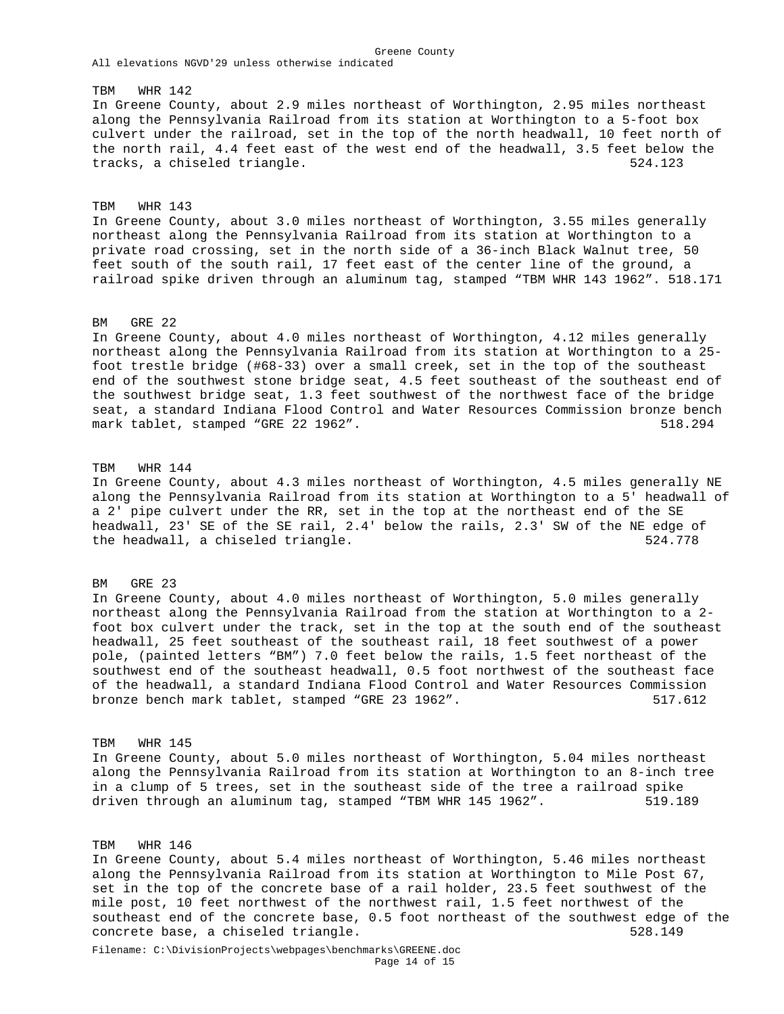# TBM WHR 142 In Greene County, about 2.9 miles northeast of Worthington, 2.95 miles northeast along the Pennsylvania Railroad from its station at Worthington to a 5-foot box culvert under the railroad, set in the top of the north headwall, 10 feet north of the north rail, 4.4 feet east of the west end of the headwall, 3.5 feet below the tracks, a chiseled triangle. The same state of the set of  $524.123$

Greene County

TBM WHR 143 In Greene County, about 3.0 miles northeast of Worthington, 3.55 miles generally northeast along the Pennsylvania Railroad from its station at Worthington to a private road crossing, set in the north side of a 36-inch Black Walnut tree, 50 feet south of the south rail, 17 feet east of the center line of the ground, a railroad spike driven through an aluminum tag, stamped "TBM WHR 143 1962". 518.171

# BM GRE 22

In Greene County, about 4.0 miles northeast of Worthington, 4.12 miles generally northeast along the Pennsylvania Railroad from its station at Worthington to a 25 foot trestle bridge (#68-33) over a small creek, set in the top of the southeast end of the southwest stone bridge seat, 4.5 feet southeast of the southeast end of the southwest bridge seat, 1.3 feet southwest of the northwest face of the bridge seat, a standard Indiana Flood Control and Water Resources Commission bronze bench mark tablet, stamped "GRE 22 1962". Sharp Subset of the Subset of the Subset of the Subset of the Subset of the Subset of the Subset of the Subset of the Subset of the Subset of the Subset of the Subset of the Subset of th

TBM WHR 144 In Greene County, about 4.3 miles northeast of Worthington, 4.5 miles generally NE along the Pennsylvania Railroad from its station at Worthington to a 5' headwall of a 2' pipe culvert under the RR, set in the top at the northeast end of the SE headwall, 23' SE of the SE rail, 2.4' below the rails, 2.3' SW of the NE edge of the headwall, a chiseled triangle. 524.778

#### BM GRE 23

In Greene County, about 4.0 miles northeast of Worthington, 5.0 miles generally northeast along the Pennsylvania Railroad from the station at Worthington to a 2 foot box culvert under the track, set in the top at the south end of the southeast headwall, 25 feet southeast of the southeast rail, 18 feet southwest of a power pole, (painted letters "BM") 7.0 feet below the rails, 1.5 feet northeast of the southwest end of the southeast headwall, 0.5 foot northwest of the southeast face of the headwall, a standard Indiana Flood Control and Water Resources Commission bronze bench mark tablet, stamped "GRE 23 1962". 517.612

#### TBM WHR 145

In Greene County, about 5.0 miles northeast of Worthington, 5.04 miles northeast along the Pennsylvania Railroad from its station at Worthington to an 8-inch tree in a clump of 5 trees, set in the southeast side of the tree a railroad spike driven through an aluminum tag, stamped "TBM WHR 145 1962". 519.189

# TBM WHR 146

In Greene County, about 5.4 miles northeast of Worthington, 5.46 miles northeast along the Pennsylvania Railroad from its station at Worthington to Mile Post 67, set in the top of the concrete base of a rail holder, 23.5 feet southwest of the mile post, 10 feet northwest of the northwest rail, 1.5 feet northwest of the southeast end of the concrete base, 0.5 foot northeast of the southwest edge of the concrete base, a chiseled triangle. 528.149